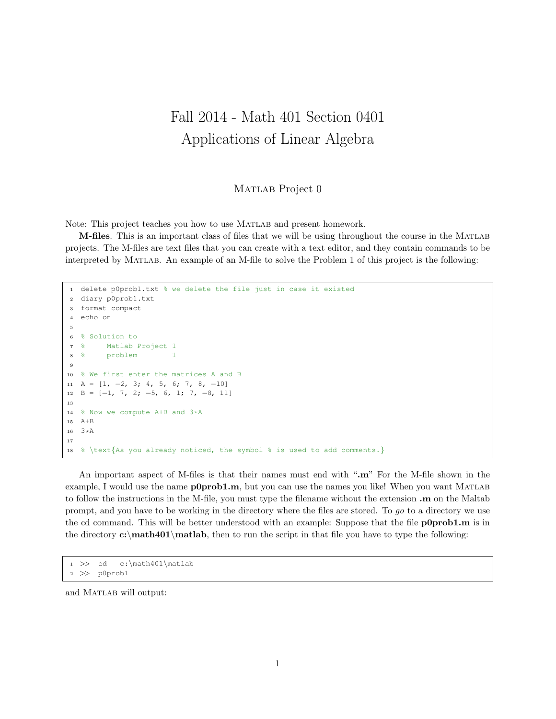## Fall 2014 - Math 401 Section 0401 Applications of Linear Algebra

MATLAB Project 0

Note: This project teaches you how to use Matlab and present homework.

M-files. This is an important class of files that we will be using throughout the course in the Matlab projects. The M-files are text files that you can create with a text editor, and they contain commands to be interpreted by Matlab. An example of an M-file to solve the Problem 1 of this project is the following:

```
1 delete p0prob1.txt % we delete the file just in case it existed
2 diary p0prob1.txt
3 format compact
4 echo on
5
6 % Solution to
7 % Matlab Project 1
8 % problem 1
\overline{9}10 % We first enter the matrices A and B
11 A = [1, -2, 3; 4, 5, 6; 7, 8, -10]12 B = [−1, 7, 2; −5, 6, 1; 7, −8, 11]
13
14 % Now we compute A+B and 3*A
15 A+B
16 3*A
17
18 % \text{As you already noticed, the symbol % is used to add comments.}
```
An important aspect of M-files is that their names must end with ".m" For the M-file shown in the example, I would use the name **p0prob1.m**, but you can use the names you like! When you want MATLAB to follow the instructions in the M-file, you must type the filename without the extension .m on the Maltab prompt, and you have to be working in the directory where the files are stored. To go to a directory we use the cd command. This will be better understood with an example: Suppose that the file **p0prob1.m** is in the directory  $c:\mathbf{0}$  then to run the script in that file you have to type the following:

```
1 >> cd c:\math401\matlab
2 >> p0prob1
```
and MATLAB will output: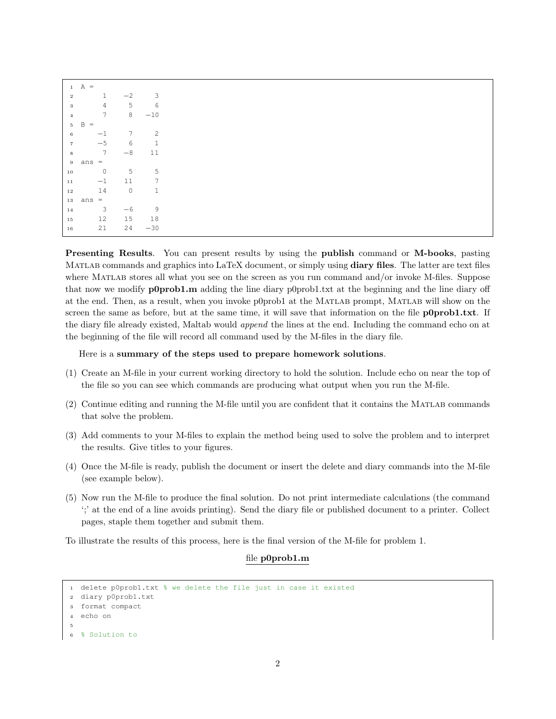| 1               | $A =$                                    |                 |              |
|-----------------|------------------------------------------|-----------------|--------------|
| $\overline{2}$  | $\mathbf{1}$                             | $-2$            | 3            |
| $\mathbf{3}$    | $\overline{4}$                           | 5               | 6            |
|                 | $7\phantom{.0}$                          | 8               |              |
| $\overline{4}$  |                                          |                 | $-10$        |
| $5 -$           | B<br>$\hspace*{0.4em} = \hspace*{0.4em}$ |                 |              |
| 6               | $-1$                                     | $7\overline{ }$ | 2            |
| $7\overline{ }$ | $-5$                                     | 6               |              |
| $\,$ 8 $\,$     | $7\overline{ }$                          | $-8$            | 11           |
|                 | $9$ ans $=$                              |                 |              |
|                 |                                          |                 |              |
| $10\,$          | $\overline{0}$                           | 5               | 5            |
| $1\,1$          | $-1$                                     | 11              | 7            |
| $1\,2$          | 14                                       | $\overline{0}$  | $\mathbf{1}$ |
|                 | $13$ ans =                               |                 |              |
| $14\,$          | $\mathbf{3}$                             | $-6$            | 9            |
|                 |                                          |                 |              |
| $15\,$          | 12                                       | 15              | 18           |
| $16\,$          | 21                                       | 24              | $-30$        |

Presenting Results. You can present results by using the publish command or M-books, pasting MATLAB commands and graphics into LaTeX document, or simply using **diary files**. The latter are text files where MATLAB stores all what you see on the screen as you run command and/or invoke M-files. Suppose that now we modify p0prob1.m adding the line diary p0prob1.txt at the beginning and the line diary off at the end. Then, as a result, when you invoke p0prob1 at the Matlab prompt, Matlab will show on the screen the same as before, but at the same time, it will save that information on the file **p0prob1.txt**. If the diary file already existed, Maltab would append the lines at the end. Including the command echo on at the beginning of the file will record all command used by the M-files in the diary file.

Here is a summary of the steps used to prepare homework solutions.

- (1) Create an M-file in your current working directory to hold the solution. Include echo on near the top of the file so you can see which commands are producing what output when you run the M-file.
- (2) Continue editing and running the M-file until you are confident that it contains the Matlab commands that solve the problem.
- (3) Add comments to your M-files to explain the method being used to solve the problem and to interpret the results. Give titles to your figures.
- (4) Once the M-file is ready, publish the document or insert the delete and diary commands into the M-file (see example below).
- (5) Now run the M-file to produce the final solution. Do not print intermediate calculations (the command ';' at the end of a line avoids printing). Send the diary file or published document to a printer. Collect pages, staple them together and submit them.

To illustrate the results of this process, here is the final version of the M-file for problem 1.

## file p0prob1.m

```
1 delete p0prob1.txt % we delete the file just in case it existed
2 diary p0prob1.txt
3 format compact
4 echo on
5
  6 % Solution to
```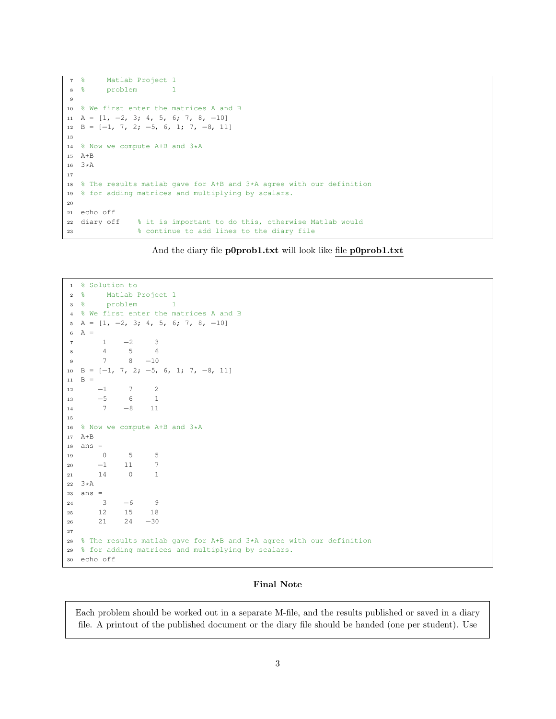```
7 % Matlab Project 1
8 % problem 1
\alpha10 % We first enter the matrices A and B
11 A = [1, -2, 3; 4, 5, 6; 7, 8, -10]12 \text{ } B = [-1, 7, 2; -5, 6, 1; 7, -8, 11]13
14 % Now we compute A+B and 3*A
15 A+B
16 3*A
17
18 % The results matlab gave for A+B and 3*A agree with our definition
19 % for adding matrices and multiplying by scalars.
20
21 echo off
22 diary off % it is important to do this, otherwise Matlab would
23 % continue to add lines to the diary file
```
And the diary file p0prob1.txt will look like file p0prob1.txt

```
1 % Solution to
2 % Matlab Project 1
3 % problem 1
4 % We first enter the matrices A and B
5 \text{ A} = [1, -2, 3; 4, 5, 6; 7, 8, -10]6 A =
7 1 −2 3
8 4 5 6
9 7 8 −10
10 B = [−1, 7, 2; −5, 6, 1; 7, −8, 11]
11 \quad B =12 −1 7 2
13 −5 6 1
14 7 −8 11
15
16 % Now we compute A+B and 3*A17 A+B
18 ans =
19 0 5 5
\begin{matrix} 20 & \hspace{1.5mm} -1 & \hspace{1.5mm} 11 & \hspace{1.5mm} 7 \end{matrix}21 14 0 1
22 3*A
23 ans =
24 3 −6 9
25 12 15 18
26 21 24 −30
27
28 % The results matlab gave for A+B and 3*A agree with our definition
29 % for adding matrices and multiplying by scalars.
30 echo off
```
## Final Note

Each problem should be worked out in a separate M-file, and the results published or saved in a diary file. A printout of the published document or the diary file should be handed (one per student). Use